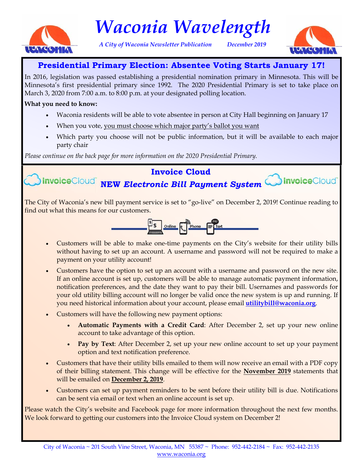

# *Waconia Wavelength*

*A City of Waconia Newsletter Publication December 2019* 



# **Presidential Primary Election: Absentee Voting Starts January 17!**

In 2016, legislation was passed establishing a presidential nomination primary in Minnesota. This will be Minnesota's first presidential primary since 1992. The 2020 Presidential Primary is set to take place on March 3, 2020 from 7:00 a.m. to 8:00 p.m. at your designated polling location.

#### **What you need to know:**

- Waconia residents will be able to vote absentee in person at City Hall beginning on January 17
- When you vote, you must choose which major party's ballot you want
- Which party you choose will not be public information, but it will be available to each major party chair

*Please continue on the back page for more information on the 2020 Presidential Primary.* 

# **Invoice Cloud**

**NInvoiceCloud NEW Electronic Bill Payment System MInvoiceCloud** 



The City of Waconia's new bill payment service is set to "go-live" on December 2, 2019! Continue reading to find out what this means for our customers.



- Customers will be able to make one-time payments on the City's website for their utility bills without having to set up an account. A username and password will not be required to make a payment on your utility account!
- Customers have the option to set up an account with a username and password on the new site. If an online account is set up, customers will be able to manage automatic payment information, notification preferences, and the date they want to pay their bill. Usernames and passwords for your old utility billing account will no longer be valid once the new system is up and running. If you need historical information about your account, please email **utilitybill@waconia.org**.
- Customers will have the following new payment options:
	- **Automatic Payments with a Credit Card**: After December 2, set up your new online account to take advantage of this option.
	- Pay by Text: After December 2, set up your new online account to set up your payment option and text notification preference.
- Customers that have their utility bills emailed to them will now receive an email with a PDF copy of their billing statement. This change will be effective for the **November 2019** statements that will be emailed on **December 2, 2019**.
- Customers can set up payment reminders to be sent before their utility bill is due. Notifications can be sent via email or text when an online account is set up.

Please watch the City's website and Facebook page for more information throughout the next few months. We look forward to getting our customers into the Invoice Cloud system on December 2!